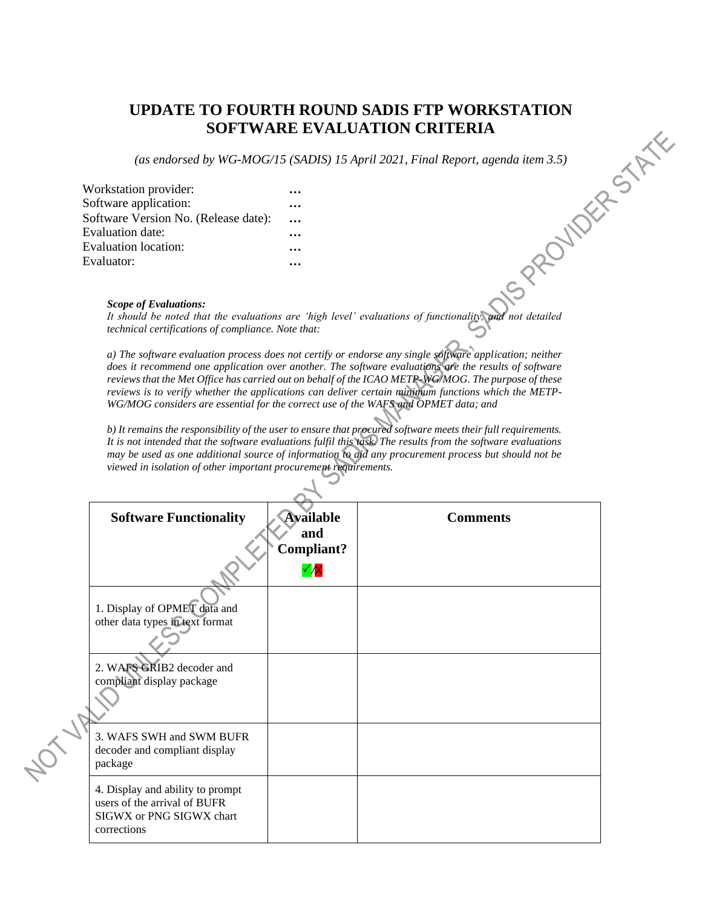# **UPDATE TO FOURTH ROUND SADIS FTP WORKSTATION**<br> **SOFTWARE EVALUATION CRITERIA**<br>
(as endorsed by WG-MOG/15 (SADIS) 15 April 2021, Final Report, agenda item 3.5)<br>
ion provider:<br>
... where the provider of the contraction:<br>
.. **SOFTWARE EVALUATION CRITERIA**

*(as endorsed by WG-MOG/15 (SADIS) 15 April 2021, Final Report, agenda item 3.5)*

| Workstation provider:                |           |
|--------------------------------------|-----------|
| Software application:                |           |
| Software Version No. (Release date): | $\ddotsc$ |
| Evaluation date:                     |           |
| Evaluation location:                 |           |
| Evaluator:                           |           |

### *Scope of Evaluations:*

*It should be noted that the evaluations are 'high level' evaluations of functionality, and not detailed technical certifications of compliance. Note that:*

*a) The software evaluation process does not certify or endorse any single software application; neither does it recommend one application over another. The software evaluations are the results of software reviews that the Met Office has carried out on behalf of the ICAO METP-WG/MOG. The purpose of these reviews is to verify whether the applications can deliver certain minimum functions which the METP-WG/MOG considers are essential for the correct use of the WAFS and OPMET data; and*

*b) It remains the responsibility of the user to ensure that procured software meets their full requirements. It is not intended that the software evaluations fulfil this task. The results from the software evaluations may be used as one additional source of information to aid any procurement process but should not be viewed in isolation of other important procurement requirements.*

|  | <b>Software Functionality</b>                                                                               | <b>Available</b><br>and<br>Compliant? | <b>Comments</b> |  |  |  |  |
|--|-------------------------------------------------------------------------------------------------------------|---------------------------------------|-----------------|--|--|--|--|
|  |                                                                                                             | $\checkmark$                          |                 |  |  |  |  |
|  | 1. Display of OPMET data and<br>other data types in text format                                             |                                       |                 |  |  |  |  |
|  | 2. WAFS GRIB2 decoder and                                                                                   |                                       |                 |  |  |  |  |
|  | compliant display package                                                                                   |                                       |                 |  |  |  |  |
|  | 3. WAFS SWH and SWM BUFR<br>decoder and compliant display<br>package                                        |                                       |                 |  |  |  |  |
|  | 4. Display and ability to prompt<br>users of the arrival of BUFR<br>SIGWX or PNG SIGWX chart<br>corrections |                                       |                 |  |  |  |  |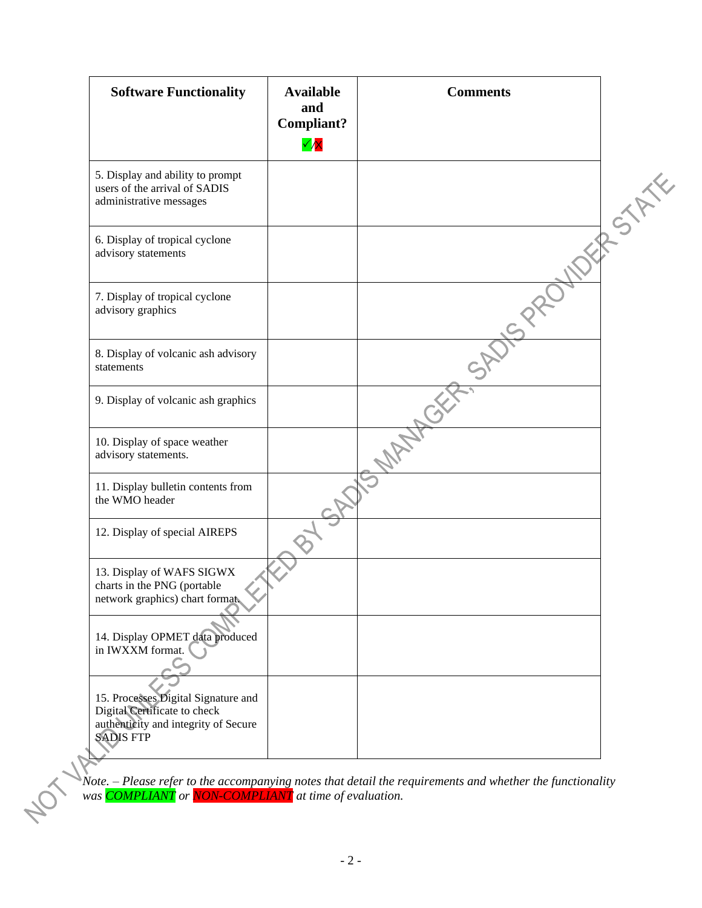| <b>Software Functionality</b>                                                                                                   | <b>Available</b><br>and<br>Compliant?<br>$\checkmark$ | <b>Comments</b> |        |
|---------------------------------------------------------------------------------------------------------------------------------|-------------------------------------------------------|-----------------|--------|
| 5. Display and ability to prompt<br>users of the arrival of SADIS<br>administrative messages                                    |                                                       |                 | RISTAN |
| 6. Display of tropical cyclone<br>advisory statements                                                                           |                                                       |                 |        |
| 7. Display of tropical cyclone<br>advisory graphics                                                                             |                                                       |                 |        |
| 8. Display of volcanic ash advisory<br>statements                                                                               |                                                       |                 |        |
| 9. Display of volcanic ash graphics                                                                                             |                                                       |                 |        |
| 10. Display of space weather<br>advisory statements.                                                                            |                                                       |                 |        |
| 11. Display bulletin contents from<br>the WMO header                                                                            |                                                       |                 |        |
| 12. Display of special AIREPS                                                                                                   |                                                       |                 |        |
| 13. Display of WAFS SIGWX<br>charts in the PNG (portable<br>network graphics) chart format.                                     |                                                       |                 |        |
| 14. Display OPMET data produced<br>in IWXXM format.                                                                             |                                                       |                 |        |
| 15. Processes Digital Signature and<br>Digital Certificate to check<br>authenticity and integrity of Secure<br><b>SADIS FTP</b> |                                                       |                 |        |

*Note. – Please refer to the accompanying notes that detail the requirements and whether the functionality was COMPLIANT or NON-COMPLIANT at time of evaluation.*

data.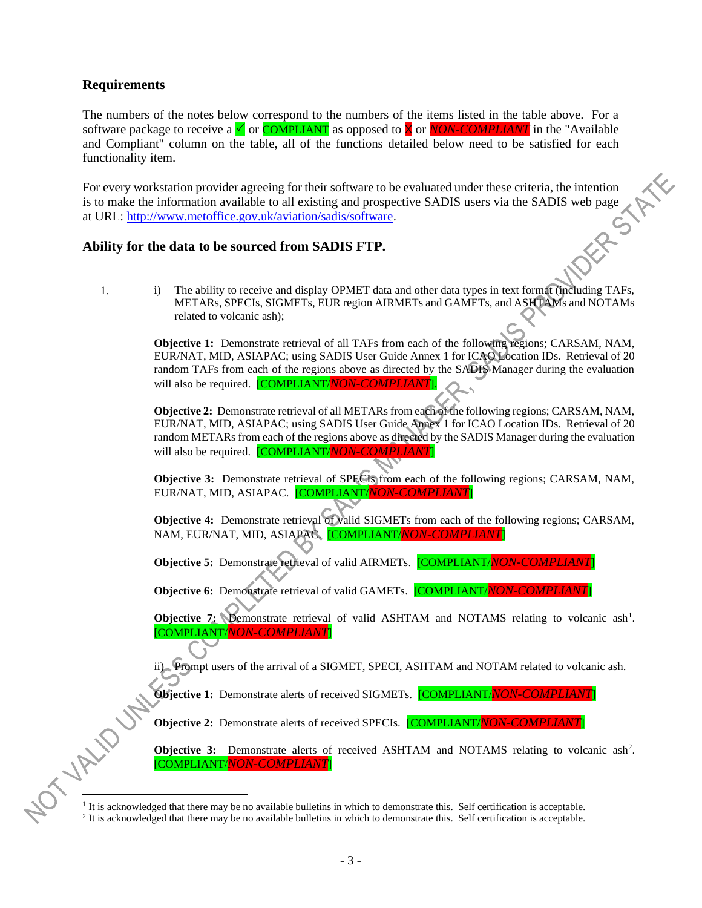# **Requirements**

The numbers of the notes below correspond to the numbers of the items listed in the table above. For a software package to receive a  $\checkmark$  or **COMPLIANT** as opposed to  $\checkmark$  or *NON-COMPLIANT* in the "Available" and Compliant" column on the table, all of the functions detailed below need to be satisfied for each functionality item.

For every workstation provider agreeing for their software to be evaluated under these criteria, the intention<br>is to make the information available to all existing and prospective SADIS users via the SADIS web name<br>at URL is to make the information available to all existing and prospective SADIS users via the SADIS web page at URL: [http://www.metoffice.gov.uk/aviation/sadis/software.](http://www.metoffice.gov.uk/aviation/sadis/software)

# **Ability for the data to be sourced from SADIS FTP.**

1. i) The ability to receive and display OPMET data and other data types in text format (including TAFs, METARs, SPECIs, SIGMETs, EUR region AIRMETs and GAMETs, and ASHTAMs and NOTAMs related to volcanic ash);

**Objective 1:** Demonstrate retrieval of all TAFs from each of the following regions; CARSAM, NAM, EUR/NAT, MID, ASIAPAC; using SADIS User Guide Annex 1 for ICAO Location IDs. Retrieval of 20 random TAFs from each of the regions above as directed by the SADIS Manager during the evaluation will also be required. [COMPLIANT/*NON-COMPLIANT*].

**Objective 2:** Demonstrate retrieval of all METARs from each of the following regions; CARSAM, NAM, EUR/NAT, MID, ASIAPAC; using SADIS User Guide Annex 1 for ICAO Location IDs. Retrieval of 20 random METARs from each of the regions above as directed by the SADIS Manager during the evaluation will also be required. [COMPLIANT/*NON-COMPLIANT*]

**Objective 3:** Demonstrate retrieval of SPECIs from each of the following regions; CARSAM, NAM, EUR/NAT, MID, ASIAPAC. [COMPLIANT/*NON-COMPLIANT*]

**Objective 4:** Demonstrate retrieval of valid SIGMETs from each of the following regions; CARSAM, NAM, EUR/NAT, MID, ASIAPAC. [COMPLIANT/*NON-COMPLIANT*]

**Objective 5:** Demonstrate retrieval of valid AIRMETs. [COMPLIANT/*NON-COMPLIANT*]

**Objective 6:** Demonstrate retrieval of valid GAMETs. [COMPLIANT/*NON-COMPLIANT*]

**Objective 7:** Demonstrate retrieval of valid ASHTAM and NOTAMS relating to volcanic ash<sup>1</sup>. [COMPLIANT/*NON-COMPLIANT*]

ii) Prompt users of the arrival of a SIGMET, SPECI, ASHTAM and NOTAM related to volcanic ash.

**Objective 1:** Demonstrate alerts of received SIGMETs. [COMPLIANT/*NON-COMPLIANT*]

**Objective 2:** Demonstrate alerts of received SPECIs. [COMPLIANT/*NON-COMPLIANT*]

Objective 3: Demonstrate alerts of received ASHTAM and NOTAMS relating to volcanic ash<sup>2</sup>. [COMPLIANT/*NON-COMPLIANT*]

<sup>1</sup> It is acknowledged that there may be no available bulletins in which to demonstrate this. Self certification is acceptable.

 $2$  It is acknowledged that there may be no available bulletins in which to demonstrate this. Self certification is acceptable.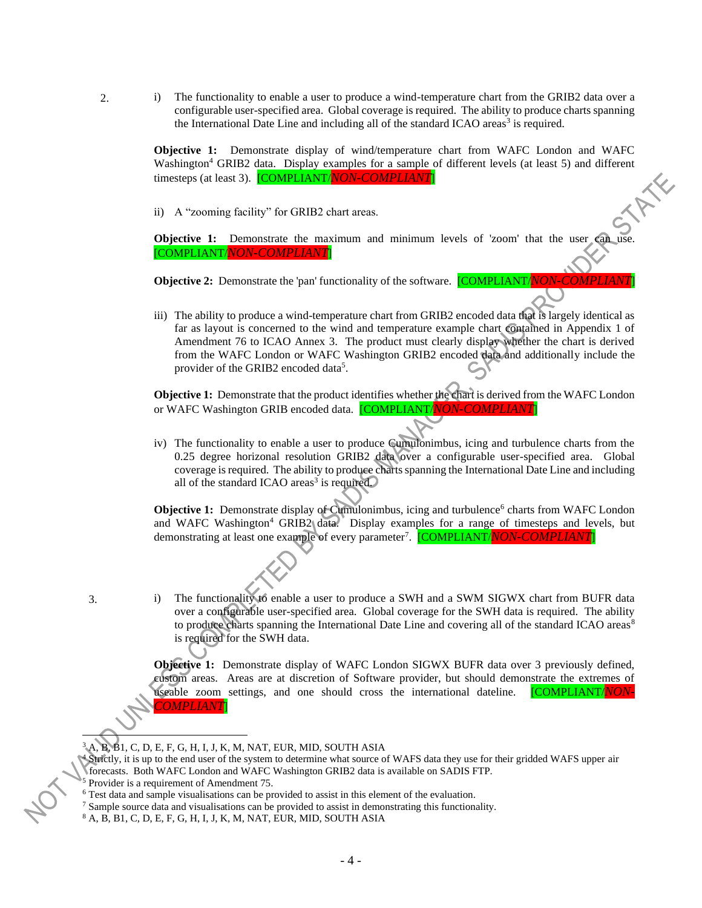2. i) The functionality to enable a user to produce a wind-temperature chart from the GRIB2 data over a configurable user-specified area. Global coverage is required. The ability to produce charts spanning the International Date Line and including all of the standard ICAO areas<sup>3</sup> is required.

> **Objective 1:** Demonstrate display of wind/temperature chart from WAFC London and WAFC Washington<sup>4</sup> GRIB2 data. Display examples for a sample of different levels (at least 5) and different timesteps (at least 3). [COMPLIANT/NON-COMPLIANT]<br>ii) A "zooming facility" for GRIB2 chart organization timesteps (at least 3). [COMPLIANT/*NON-COMPLIANT*]

ii) A "zooming facility" for GRIB2 chart areas.

**Objective 1:** Demonstrate the maximum and minimum levels of 'zoom' that the user can [COMPLIANT/*NON-COMPLIANT*]

**Objective 2:** Demonstrate the 'pan' functionality of the software. **[COMPLIANT** 

iii) The ability to produce a wind-temperature chart from GRIB2 encoded data that is largely identical as far as layout is concerned to the wind and temperature example chart contained in Appendix 1 of Amendment 76 to ICAO Annex 3. The product must clearly display whether the chart is derived from the WAFC London or WAFC Washington GRIB2 encoded data and additionally include the provider of the GRIB2 encoded data<sup>5</sup>.

**Objective 1:** Demonstrate that the product identifies whether the chart is derived from the WAFC London or WAFC Washington GRIB encoded data. [COMPLIANT/*NON-COMPLIANT*]

iv) The functionality to enable a user to produce Cumulonimbus, icing and turbulence charts from the 0.25 degree horizonal resolution GRIB2 data over a configurable user-specified area. Global coverage is required. The ability to produce charts spanning the International Date Line and including all of the standard ICAO areas<sup>3</sup> is required.

**Objective 1:** Demonstrate display of Cumulonimbus, icing and turbulence<sup>6</sup> charts from WAFC London and WAFC Washington<sup>4</sup> GRIB2 data. Display examples for a range of timesteps and levels, but demonstrating at least one example of every parameter<sup>7</sup>. [COMPLIANT/<mark>*NON-COMPLIANT*]</mark>

3. i) The functionality to enable a user to produce a SWH and a SWM SIGWX chart from BUFR data over a configurable user-specified area. Global coverage for the SWH data is required. The ability to produce charts spanning the International Date Line and covering all of the standard ICAO areas<sup>8</sup> is required for the SWH data.

> **Objective 1:** Demonstrate display of WAFC London SIGWX BUFR data over 3 previously defined, custom areas. Areas are at discretion of Software provider, but should demonstrate the extremes of useable zoom settings, and one should cross the international dateline. **COMPLIANT/VC** *COMPLIANT*]

<sup>3</sup> A, B, B1, C, D, E, F, G, H, I, J, K, M, NAT, EUR, MID, SOUTH ASIA

 $\frac{4 \text{Shift}}{2 \text{ width}}$ , it is up to the end user of the system to determine what source of WAFS data they use for their gridded WAFS upper air forecasts. Both WAFC London and WAFC Washington GRIB2 data is available on SADIS FTP.

<sup>5</sup> Provider is a requirement of Amendment 75.

<sup>&</sup>lt;sup>6</sup> Test data and sample visualisations can be provided to assist in this element of the evaluation.

 $7$  Sample source data and visualisations can be provided to assist in demonstrating this functionality.

<sup>8</sup> A, B, B1, C, D, E, F, G, H, I, J, K, M, NAT, EUR, MID, SOUTH ASIA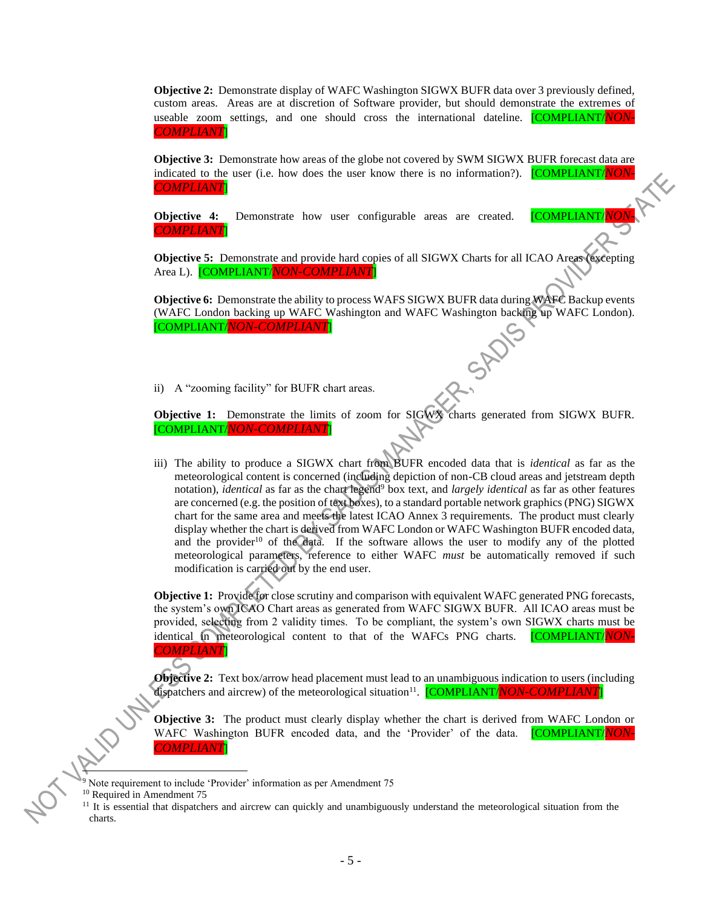**Objective 2:** Demonstrate display of WAFC Washington SIGWX BUFR data over 3 previously defined, custom areas. Areas are at discretion of Software provider, but should demonstrate the extremes of useable zoom settings, and one should cross the international dateline. [COMPLIANT/*NON-COMPLIANT*]

**Objective 3:** Demonstrate how areas of the globe not covered by SWM SIGWX BUFR forecast data are indicated to the user (i.e. how does the user know there is no information?). **[COMPLIANT/***NON COMPLIANT*]

**Objective 4:** Demonstrate how user configurable areas are created. **[COMPLIANT**/ *COMPLIANT*]

**Objective 5:** Demonstrate and provide hard copies of all SIGWX Charts for all ICAO Areas (excepting Area L). [COMPLIANT/*NON-COMPLIANT*]

**Objective 6:** Demonstrate the ability to process WAFS SIGWX BUFR data during WAFC Backup events (WAFC London backing up WAFC Washington and WAFC Washington backing up WAFC London). [COMPLIANT/*NON-COMPLIANT*]

ii) A "zooming facility" for BUFR chart areas.

**Objective 1:** Demonstrate the limits of zoom for SIGWX charts generated from SIGWX BUFR. [COMPLIANT/*NON-COMPLIANT*]

iii) The ability to produce a SIGWX chart from BUFR encoded data that is *identical* as far as the meteorological content is concerned (including depiction of non-CB cloud areas and jetstream depth notation), *identical* as far as the chart legend<sup>9</sup> box text, and *largely identical* as far as other features are concerned (e.g. the position of text boxes), to a standard portable network graphics (PNG) SIGWX chart for the same area and meets the latest ICAO Annex 3 requirements. The product must clearly display whether the chart is derived from WAFC London or WAFC Washington BUFR encoded data, and the provider<sup>10</sup> of the data. If the software allows the user to modify any of the plotted meteorological parameters, reference to either WAFC *must* be automatically removed if such modification is carried out by the end user.

**Objective 1:** Provide for close scrutiny and comparison with equivalent WAFC generated PNG forecasts, the system's own ICAO Chart areas as generated from WAFC SIGWX BUFR. All ICAO areas must be provided, selecting from 2 validity times. To be compliant, the system's own SIGWX charts must be identical in meteorological content to that of the WAFCs PNG charts. [COMPLIANT/*NON-COMPLIANT*]

**Objective 2:** Text box/arrow head placement must lead to an unambiguous indication to users (including dispatchers and aircrew) of the meteorological situation<sup>11</sup>. **[COMPLIANT/***NON-COMPLIANT*]

**Objective 3:** The product must clearly display whether the chart is derived from WAFC London or WAFC Washington BUFR encoded data, and the 'Provider' of the data. [COMPLIANT/*NON-COMPLIANT*]

 $9$  Note requirement to include 'Provider' information as per Amendment 75

C

<sup>&</sup>lt;sup>10</sup> Required in Amendment 75

 $11$  It is essential that dispatchers and aircrew can quickly and unambiguously understand the meteorological situation from the charts.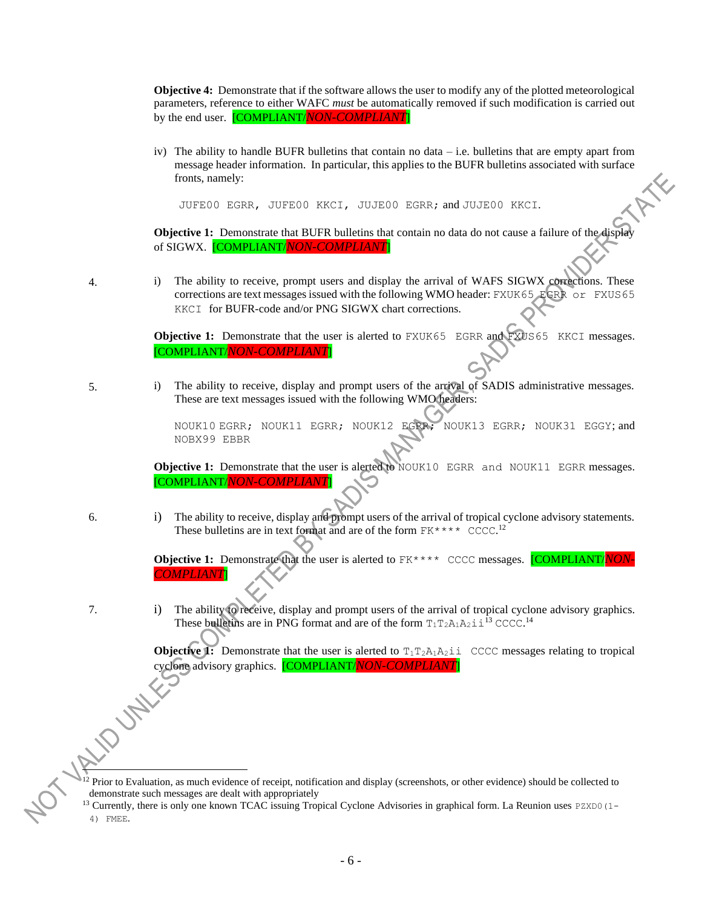**Objective 4:** Demonstrate that if the software allows the user to modify any of the plotted meteorological parameters, reference to either WAFC *must* be automatically removed if such modification is carried out by the end user. [COMPLIANT/*NON-COMPLIANT*]

iv) The ability to handle BUFR bulletins that contain no data – i.e. bulletins that are empty apart from message header information. In particular, this applies to the BUFR bulletins associated with surface fronts, namely:

JUFE00 EGRR, JUFE00 KKCI, JUJE00 EGRR; and JUJE00 KKCI.

**Objective 1:** Demonstrate that BUFR bulletins that contain no data do not cause a failure of the displa of SIGWX. [COMPLIANT/*NON-COMPLIANT*]

4. i) The ability to receive, prompt users and display the arrival of WAFS SIGWX corrections. These corrections are text messages issued with the following WMO header: FXUK65 EGRR or FXUS65 KKCI for BUFR-code and/or PNG SIGWX chart corrections.

> **Objective 1:** Demonstrate that the user is alerted to FXUK65 EGRR and FXUS65 KKCI messages. [COMPLIANT/*NON-COMPLIANT*]

5. i) The ability to receive, display and prompt users of the arrival of SADIS administrative messages. These are text messages issued with the following WMO headers:

> NOUK10 EGRR; NOUK11 EGRR; NOUK12 EGRR; NOUK13 EGRR; NOUK31 EGGY; and NOBX99 EBBR

**Objective 1:** Demonstrate that the user is alerted to NOUK10 EGRR and NOUK11 EGRR messages. [COMPLIANT/*NON-COMPLIANT*]

6. i) The ability to receive, display and prompt users of the arrival of tropical cyclone advisory statements. These bulletins are in text format and are of the form  $FK****$  CCCC.<sup>12</sup>

> **Objective 1:** Demonstrate that the user is alerted to  $FK****$  CCCC messages. **[COMPLIANT/***NON COMPLIANT*]

7. i) The ability to receive, display and prompt users of the arrival of tropical cyclone advisory graphics. These bulletins are in PNG format and are of the form  $T_1T_2A_1A_2 \text{ i }1^3$  CCCC.<sup>14</sup>

> **Objective 1:** Demonstrate that the user is alerted to  $T_1T_2A_1A_2$  i CCCC messages relating to tropical cyclone advisory graphics. [COMPLIANT/*NON-COMPLIANT*]

<sup>12</sup> Prior to Evaluation, as much evidence of receipt, notification and display (screenshots, or other evidence) should be collected to demonstrate such messages are dealt with appropriately

 $13$  Currently, there is only one known TCAC issuing Tropical Cyclone Advisories in graphical form. La Reunion uses PZXD0(1-4) FMEE.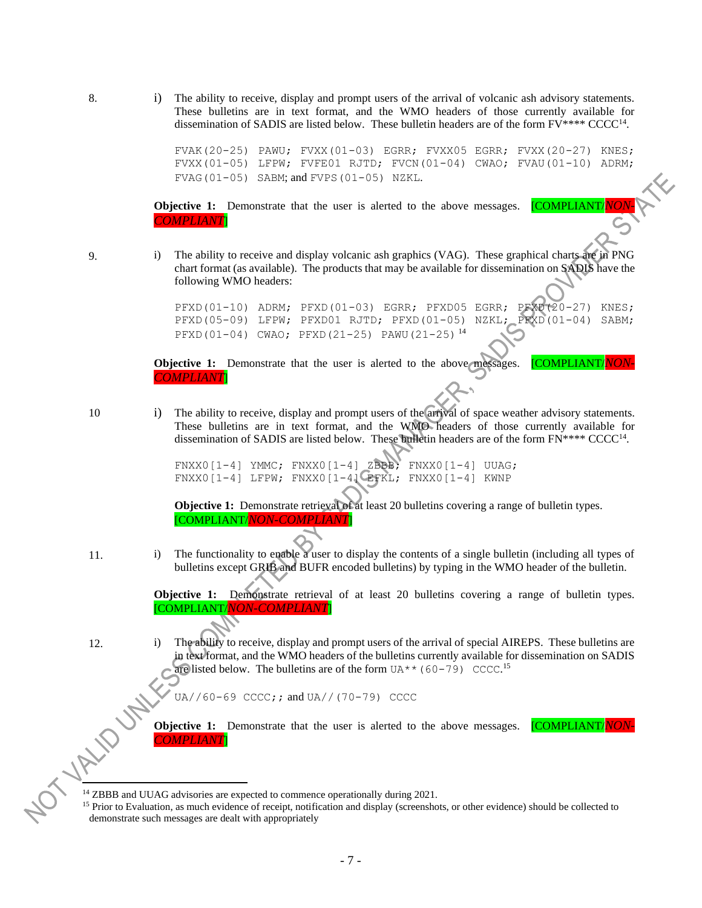8. i) The ability to receive, display and prompt users of the arrival of volcanic ash advisory statements. These bulletins are in text format, and the WMO headers of those currently available for dissemination of SADIS are listed below. These bulletin headers are of the form  $FV^{***}$  CCCC<sup>14</sup>.

> FVAK(20-25) PAWU; FVXX(01-03) EGRR; FVXX05 EGRR; FVXX(20-27) KNES; FVXX(01-05) LFPW; FVFE01 RJTD; FVCN(01-04) CWAO; FVAU(01-10) ADRM; FVAG(01-05) SABM; and FVPS(01-05) NZKL.

**Objective 1:** Demonstrate that the user is alerted to the above messages. **[COMPLIANT** *COMPLIANT*]

9. i) The ability to receive and display volcanic ash graphics (VAG). These graphical charts are in PNG chart format (as available). The products that may be available for dissemination on SADIS have the following WMO headers:

> PFXD(01-10) ADRM; PFXD(01-03) EGRR; PFXD05 EGRR; PFXD(20-27) KNES; PFXD(05-09) LFPW; PFXD01 RJTD; PFXD(01-05) NZKL; PFXD(01-04) SABM; PFXD(01-04) CWAO; PFXD(21-25) PAWU(21-25) <sup>14</sup>

**Objective 1:** Demonstrate that the user is alerted to the above messages. **[COMPLIANT**/ *COMPLIANT*]

10 i) The ability to receive, display and prompt users of the arrival of space weather advisory statements. These bulletins are in text format, and the WMO headers of those currently available for dissemination of SADIS are listed below. These bulletin headers are of the form  $FN**** CCCC<sup>14</sup>$ .

> FNXX0[1-4] YMMC; FNXX0[1-4] ZBBB; FNXX0[1-4] UUAG;  $FNXX0[1-4]$  LFPW;  $FNXX0[1-4]$  EFKL;  $FNXX0[1-4]$  KWNP

**Objective 1:** Demonstrate retrieval of at least 20 bulletins covering a range of bulletin types. [COMPLIANT/*NON-COMPLIANT*]

11. i) The functionality to enable a user to display the contents of a single bulletin (including all types of bulletins except GRIB and BUFR encoded bulletins) by typing in the WMO header of the bulletin.

> **Objective 1:** Demonstrate retrieval of at least 20 bulletins covering a range of bulletin types. [COMPLIANT/*NON-COMPLIANT*]

12. i) The ability to receive, display and prompt users of the arrival of special AIREPS. These bulletins are in text format, and the WMO headers of the bulletins currently available for dissemination on SADIS are listed below. The bulletins are of the form  $U A^{**} (60-79)$  CCCC.<sup>15</sup>

 $U$ A//60-69 CCCC;; and  $U$ A//(70-79) CCCC

**Objective 1:** Demonstrate that the user is alerted to the above messages. **[COMPLIANT/***NON COMPLIANT*]

<sup>&</sup>lt;sup>14</sup> ZBBB and UUAG advisories are expected to commence operationally during 2021.

<sup>&</sup>lt;sup>15</sup> Prior to Evaluation, as much evidence of receipt, notification and display (screenshots, or other evidence) should be collected to demonstrate such messages are dealt with appropriately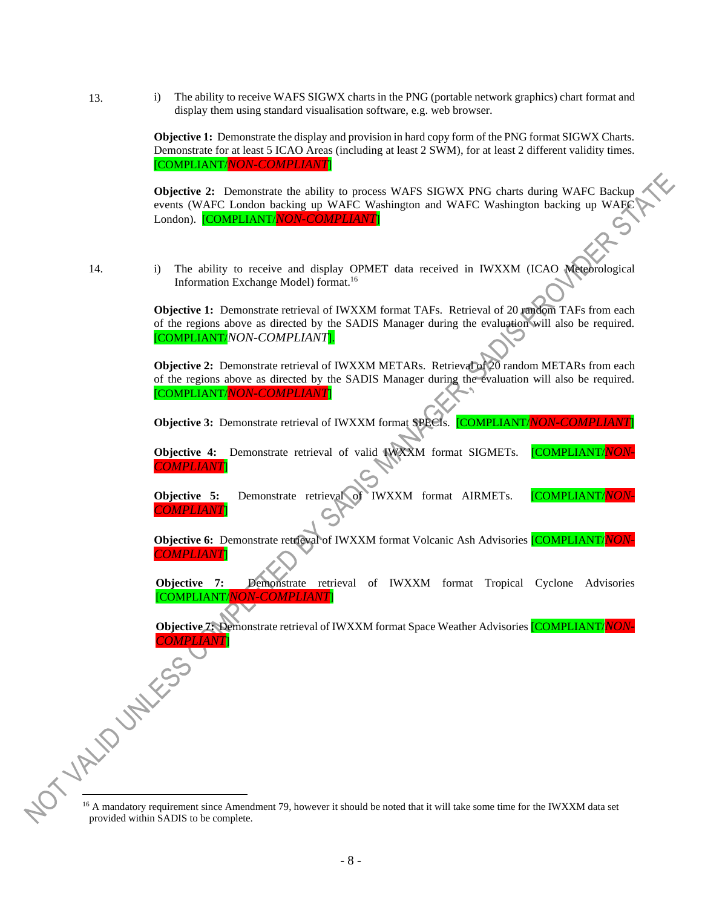13. i) The ability to receive WAFS SIGWX charts in the PNG (portable network graphics) chart format and display them using standard visualisation software, e.g. web browser.

> **Objective 1:** Demonstrate the display and provision in hard copy form of the PNG format SIGWX Charts. Demonstrate for at least 5 ICAO Areas (including at least 2 SWM), for at least 2 different validity times. [COMPLIANT/*NON-COMPLIANT*]

> **Objective 2:** Demonstrate the ability to process WAFS SIGWX PNG charts during WAFC Backup events (WAFC London backing up WAFC Washington and WAFC Washington backing up WAFC London). [COMPLIANT/*NON-COMPLIANT*]

- 
- 14. i) The ability to receive and display OPMET data received in IWXXM (ICAO Meteorological Information Exchange Model) format. 16

**Objective 1:** Demonstrate retrieval of IWXXM format TAFs. Retrieval of 20 random TAFs from each of the regions above as directed by the SADIS Manager during the evaluation will also be required. [COMPLIANT/*NON-COMPLIANT*].

**Objective 2:** Demonstrate retrieval of IWXXM METARs. Retrieval of 20 random METARs from each of the regions above as directed by the SADIS Manager during the evaluation will also be required. [COMPLIANT/*NON-COMPLIANT*]

**Objective 3:** Demonstrate retrieval of IWXXM format SPECIs. [COMPLIANT/*NON-COMPLIANT*]

**Objective 4:** Demonstrate retrieval of valid **IWXXM** format SIGMETs. **[COMPLIANT**/ *COMPLIANT*]

**Objective 5:** Demonstrate retrieval of IWXXM format AIRMETs. **COMPLIANT/NON** *COMPLIANT*]

**Objective 6:** Demonstrate retrieval of IWXXM format Volcanic Ash Advisories [COMPLIANT/*NON-COMPLIANT*]

**Objective 7:** Demonstrate retrieval of IWXXM format Tropical Cyclone Advisories [COMPLIANT/*NON-COMPLIANT*]

**Objective 7:** Demonstrate retrieval of IWXXM format Space Weather Advisories [COMPLIANT/*NON-COMPLIANT*]

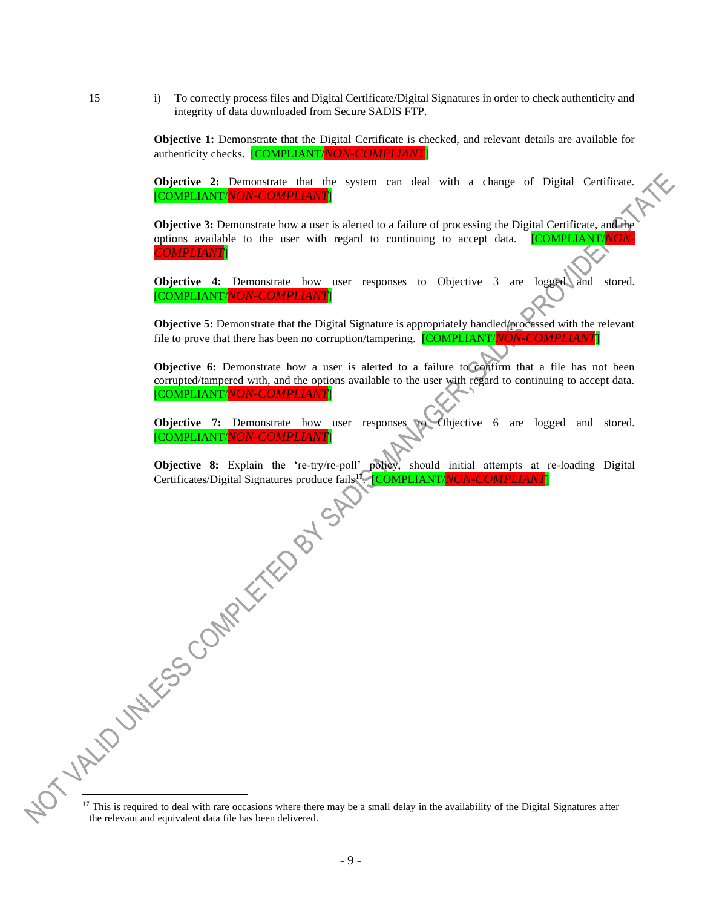15 i) To correctly process files and Digital Certificate/Digital Signatures in order to check authenticity and integrity of data downloaded from Secure SADIS FTP.

> **Objective 1:** Demonstrate that the Digital Certificate is checked, and relevant details are available for authenticity checks. [COMPLIANT/*NON-COMPLIANT*]

> **Objective 2:** Demonstrate that the system can deal with a change of Digital Certificate. [COMPLIANT/*NON-COMPLIANT*]

> **Objective 3:** Demonstrate how a user is alerted to a failure of processing the Digital Certificate, and the options available to the user with regard to continuing to accept data. [COMPLIANT/*NON-COMPLIANT*]

> **Objective 4:** Demonstrate how user responses to Objective 3 are logged and stored. [COMPLIANT/*NON-COMPLIANT*]

> **Objective 5:** Demonstrate that the Digital Signature is appropriately handled/processed with the relevant file to prove that there has been no corruption/tampering. **[COMPLIANT/***NON-COMPLIA*

> **Objective 6:** Demonstrate how a user is alerted to a failure to confirm that a file has not been corrupted/tampered with, and the options available to the user with regard to continuing to accept data. [COMPLIANT/*NON-COMPLIANT*]

> **Objective 7:** Demonstrate how user responses to Objective 6 are logged and stored. [COMPLIANT/*NON-COMPLIANT*]

> **Objective 8:** Explain the 're-try/re-poll' policy, should initial attempts at re-loading Digital Certificates/Digital Signatures produce fails<sup>17</sup> Certificates/Digital Signatures produce fails<sup>17</sup> [COMPLIANT/*NON-COMPLIANT*]

 $17$  This is required to deal with rare occasions where there may be a small delay in the availability of the Digital Signatures after the relevant and equivalent data file has been delivered.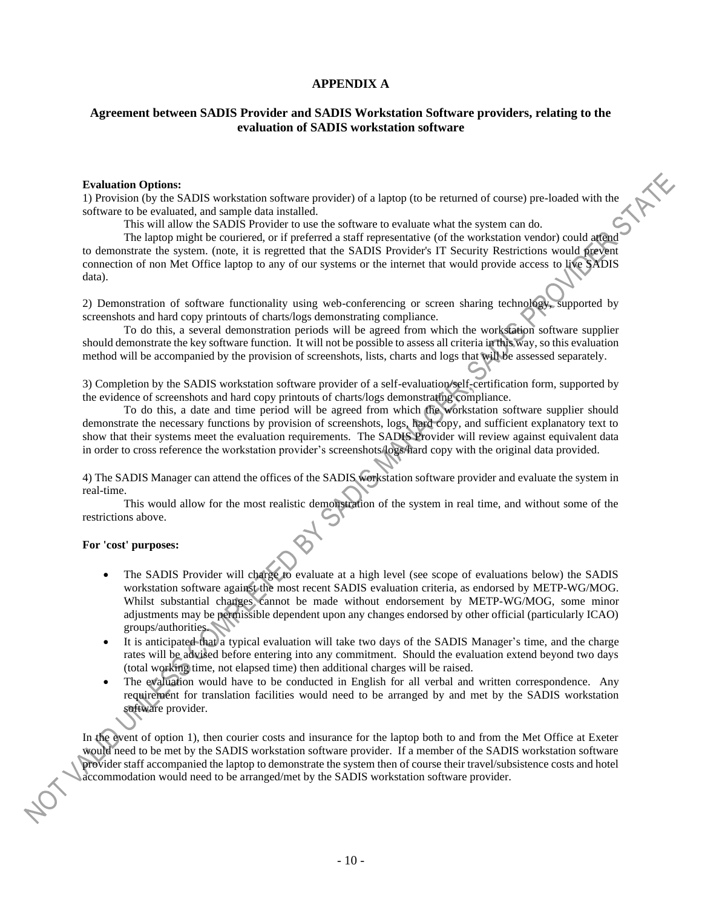# **APPENDIX A**

# **Agreement between SADIS Provider and SADIS Workstation Software providers, relating to the evaluation of SADIS workstation software**

### **Evaluation Options:**

1) Provision (by the SADIS workstation software provider) of a laptop (to be returned of course) pre-loaded with the software to be evaluated, and sample data installed.

This will allow the SADIS Provider to use the software to evaluate what the system can do.

The laptop might be couriered, or if preferred a staff representative (of the workstation vendor) could attend to demonstrate the system. (note, it is regretted that the SADIS Provider's IT Security Restrictions would prevent connection of non Met Office laptop to any of our systems or the internet that would provide access to live SADIS data).

2) Demonstration of software functionality using web-conferencing or screen sharing technology, supported by screenshots and hard copy printouts of charts/logs demonstrating compliance.

To do this, a several demonstration periods will be agreed from which the workstation software supplier should demonstrate the key software function. It will not be possible to assess all criteria in this way, so this evaluation method will be accompanied by the provision of screenshots, lists, charts and logs that will be assessed separately.

3) Completion by the SADIS workstation software provider of a self-evaluation/self-certification form, supported by the evidence of screenshots and hard copy printouts of charts/logs demonstrating compliance.

To do this, a date and time period will be agreed from which the workstation software supplier should demonstrate the necessary functions by provision of screenshots, logs, hard copy, and sufficient explanatory text to show that their systems meet the evaluation requirements. The SADIS Provider will review against equivalent data in order to cross reference the workstation provider's screenshots/logs/hard copy with the original data provided.

4) The SADIS Manager can attend the offices of the SADIS workstation software provider and evaluate the system in real-time.

This would allow for the most realistic demonstration of the system in real time, and without some of the restrictions above.

### **For 'cost' purposes:**

- The SADIS Provider will charge to evaluate at a high level (see scope of evaluations below) the SADIS workstation software against the most recent SADIS evaluation criteria, as endorsed by METP-WG/MOG. Whilst substantial changes cannot be made without endorsement by METP-WG/MOG, some minor adjustments may be permissible dependent upon any changes endorsed by other official (particularly ICAO) groups/authorities.
- It is anticipated that a typical evaluation will take two days of the SADIS Manager's time, and the charge rates will be advised before entering into any commitment. Should the evaluation extend beyond two days (total working time, not elapsed time) then additional charges will be raised.
- The evaluation would have to be conducted in English for all verbal and written correspondence. Any requirement for translation facilities would need to be arranged by and met by the SADIS workstation software provider.

In the event of option 1), then courier costs and insurance for the laptop both to and from the Met Office at Exeter would need to be met by the SADIS workstation software provider. If a member of the SADIS workstation software provider staff accompanied the laptop to demonstrate the system then of course their travel/subsistence costs and hotel accommodation would need to be arranged/met by the SADIS workstation software provider.